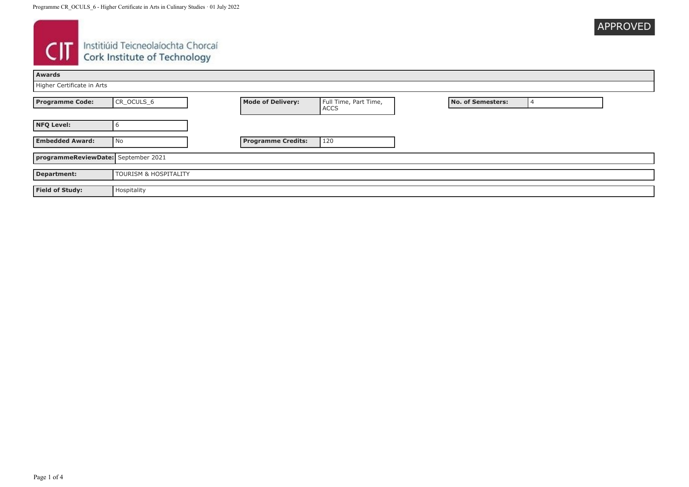## APPROVED

# **CIT** Instituid Teicneolaíochta Chorcaí

| <b>Awards</b>                       |                                  |                           |                               |                          |  |  |
|-------------------------------------|----------------------------------|---------------------------|-------------------------------|--------------------------|--|--|
| Higher Certificate in Arts          |                                  |                           |                               |                          |  |  |
| <b>Programme Code:</b>              | CR_OCULS_6                       | <b>Mode of Delivery:</b>  | Full Time, Part Time,<br>ACCS | <b>No. of Semesters:</b> |  |  |
| <b>NFQ Level:</b>                   |                                  |                           |                               |                          |  |  |
| <b>Embedded Award:</b>              | l No                             | <b>Programme Credits:</b> | 120                           |                          |  |  |
| programmeReviewDate: September 2021 |                                  |                           |                               |                          |  |  |
| <b>Department:</b>                  | <b>TOURISM &amp; HOSPITALITY</b> |                           |                               |                          |  |  |
| <b>Field of Study:</b>              | Hospitality                      |                           |                               |                          |  |  |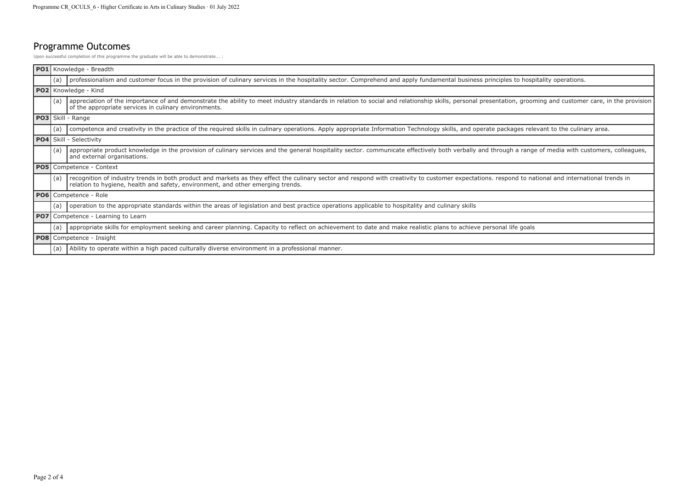# Programme Outcomes

Upon successful completion of this programme the graduate will be able to demonstrate... :

|                      | PO1 Knowledge - Breadth                                                                                                                                                                                                                                                                |  |
|----------------------|----------------------------------------------------------------------------------------------------------------------------------------------------------------------------------------------------------------------------------------------------------------------------------------|--|
| (a)                  | professionalism and customer focus in the provision of culinary services in the hospitality sector. Comprehend and apply fundamental business principles to hospitality operations.                                                                                                    |  |
| PO2 Knowledge - Kind |                                                                                                                                                                                                                                                                                        |  |
| (a)                  | appreciation of the importance of and demonstrate the ability to meet industry standards in relation to social and relationship skills, personal presentation, grooming and customer care, in the provision<br>of the appropriate services in culinary environments.                   |  |
|                      | PO3 Skill - Range                                                                                                                                                                                                                                                                      |  |
| (a)                  | competence and creativity in the practice of the required skills in culinary operations. Apply appropriate Information Technology skills, and operate packages relevant to the culinary area.                                                                                          |  |
|                      | <b>PO4</b> Skill - Selectivity                                                                                                                                                                                                                                                         |  |
| (a)                  | appropriate product knowledge in the provision of culinary services and the general hospitality sector. communicate effectively both verbally and through a range of media with customers, colleagues,<br>and external organisations.                                                  |  |
|                      | PO5 Competence - Context                                                                                                                                                                                                                                                               |  |
| (a)                  | recognition of industry trends in both product and markets as they effect the culinary sector and respond with creativity to customer expectations. respond to national and international trends in<br>relation to hygiene, health and safety, environment, and other emerging trends. |  |
|                      | <b>PO6</b> Competence - Role                                                                                                                                                                                                                                                           |  |
| (a)                  | operation to the appropriate standards within the areas of legislation and best practice operations applicable to hospitality and culinary skills                                                                                                                                      |  |
|                      | <b>PO7</b> Competence - Learning to Learn                                                                                                                                                                                                                                              |  |
| (a)                  | appropriate skills for employment seeking and career planning. Capacity to reflect on achievement to date and make realistic plans to achieve personal life goals                                                                                                                      |  |
|                      | PO8 Competence - Insight                                                                                                                                                                                                                                                               |  |
| (a)                  | Ability to operate within a high paced culturally diverse environment in a professional manner.                                                                                                                                                                                        |  |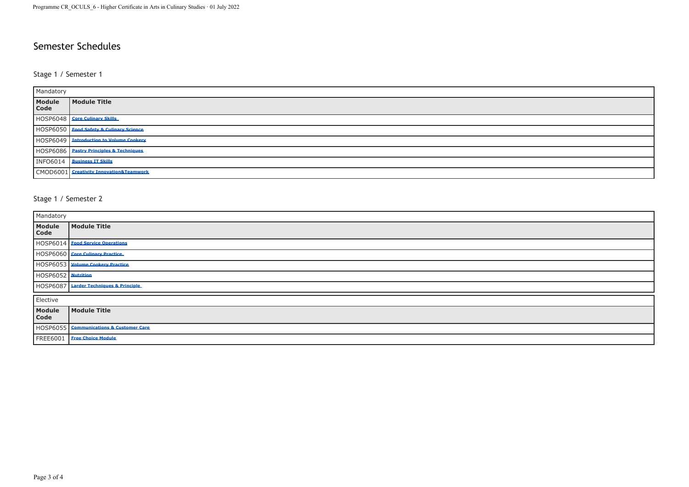## Semester Schedules

#### Stage 1 / Semester 1

| Mandatory      |                                         |  |
|----------------|-----------------------------------------|--|
| Module<br>Code | Module Title                            |  |
|                | HOSP6048   Core Culinary Skills         |  |
|                | HOSP6050 Eggd Safety & Culinary Science |  |
|                | HOSP6049 Introduction to Volume Cookery |  |
|                | HOSP6086 Pastry Principles & Techniques |  |
|                | INFO6014 Business IT Skills             |  |
|                | CMOD6001 Creativity Innovation&Teamwork |  |

#### Stage 1 / Semester 2

| Mandatory          |                                         |
|--------------------|-----------------------------------------|
| Module<br>Code     | Module Title                            |
|                    | HOSP6014 Eood Service Operations        |
|                    | HOSP6060 Core Culinary Practice         |
|                    | HOSP6053 Volume Cookery Practice        |
| HOSP6052 Nutrition |                                         |
|                    | HOSP6087 Larder Techniques & Principle  |
| Elective           |                                         |
| Module<br>Code     | Module Title                            |
|                    | HOSP6055 Communications & Customer Care |
| <b>FREE6001</b>    | <b>Free Choice Module</b>               |